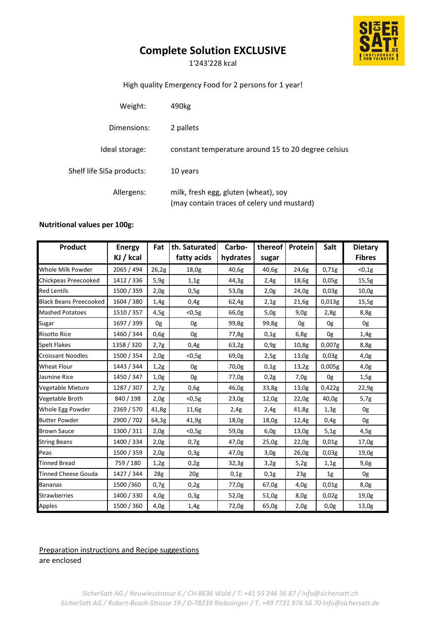# **Complete Solution EXCLUSIVE**

1'243'228 kcal

### High quality Emergency Food for 2 persons for 1 year!

| Weight:                   | 490kg                                                                              |
|---------------------------|------------------------------------------------------------------------------------|
| Dimensions:               | 2 pallets                                                                          |
| Ideal storage:            | constant temperature around 15 to 20 degree celsius                                |
| Shelf life SiSa products: | 10 years                                                                           |
| Allergens:                | milk, fresh egg, gluten (wheat), soy<br>(may contain traces of celery und mustard) |

### **Nutritional values per 100g:**

| Product                       | <b>Energy</b> | Fat    | th. Saturated   | Carbo-   | thereof | Protein | Salt   | <b>Dietary</b> |
|-------------------------------|---------------|--------|-----------------|----------|---------|---------|--------|----------------|
|                               | KJ / kcal     |        | fatty acids     | hydrates | sugar   |         |        | <b>Fibres</b>  |
| Whole Milk Powder             | 2065 / 494    | 26,2g  | 18,0g           | 40,6g    | 40,6g   | 24,6g   | 0,71g  | < 0, 1g        |
| Chickpeas Preecooked          | 1412 / 336    | 5,9g   | 1,1g            | 44,3g    | 2,4g    | 18,6g   | 0,05g  | 15,5g          |
| <b>Red Lentils</b>            | 1500 / 359    | 2,0g   | 0,5g            | 53,0g    | 2,0g    | 24,0g   | 0,03g  | 10,0g          |
| <b>Black Beans Preecooked</b> | 1604 / 380    | 1,4g   | 0,4g            | 62,4g    | 2,1g    | 21,6g   | 0,013g | 15,5g          |
| <b>Mashed Potatoes</b>        | 1510 / 357    | 4,5g   | $<$ 0,5g        | 66,0g    | 5,0g    | 9,0g    | 2,8g   | 8,8g           |
| Sugar                         | 1697 / 399    | 0g     | 0g              | 99,8g    | 99,8g   | 0g      | 0g     | 0g             |
| <b>Risotto Rice</b>           | 1460 / 344    | 0,6g   | 0g              | 77,8g    | 0,1g    | 6,8g    | 0g     | 1,4g           |
| <b>Spelt Flakes</b>           | 1358 / 320    | 2,7g   | 0,4g            | 63,2g    | 0.9g    | 10,8g   | 0,007g | 8,8g           |
| <b>Croissant Noodles</b>      | 1500 / 354    | 2,0g   | $0,5g$          | 69,0g    | 2,5g    | 13,0g   | 0,03g  | 4.0g           |
| <b>Wheat Flour</b>            | 1443 / 344    | 1,2g   | 0g              | 70,0g    | 0,1g    | 13,2g   | 0,005g | 4,0g           |
| Jasmine Rice                  | 1450 / 347    | 1,0g   | 0g              | 77,0g    | 0,2g    | 7,0g    | 0g     | 1,5g           |
| Vegetable Mixture             | 1287 / 307    | 2,7g   | 0,6g            | 46,0g    | 33,8g   | 13,0g   | 0,422g | 22,9g          |
| Vegetable Broth               | 840 / 198     | 2,0g   | $<$ 0,5g        | 23,0g    | 12,0g   | 22,0g   | 40,0g  | 5,7g           |
| Whole Egg Powder              | 2369 / 570    | 41,8g  | 11,6g           | 2,4g     | 2,4g    | 41,8g   | 1,3g   | 0g             |
| <b>Butter Powder</b>          | 2900 / 702    | 64,3g  | 41,9g           | 18,0g    | 18,0g   | 12,4g   | 0,4g   | 0g             |
| <b>Brown Sauce</b>            | 1300 / 311    | 2,0g   | $<$ 0,5g        | 59,0g    | 6,0g    | 13,0g   | 5,1g   | 4,5g           |
| <b>String Beans</b>           | 1400 / 334    | 2,0g   | 0,7g            | 47,0g    | 25,0g   | 22,0g   | 0,01g  | 17,0g          |
| Peas                          | 1500 / 359    | 2,0g   | 0,3g            | 47,0g    | 3,0g    | 26,0g   | 0,03g  | 19,0g          |
| <b>Tinned Bread</b>           | 759 / 180     | $1,2g$ | 0,2g            | 32,3g    | 3,2g    | 5,2g    | 1,1g   | 9,6g           |
| <b>Tinned Cheese Gouda</b>    | 1427 / 344    | 28g    | 20 <sub>g</sub> | 0,1g     | 0,1g    | 23g     | 1g     | 0g             |
| <b>Bananas</b>                | 1500/360      | 0,7g   | 0,2g            | 77,0g    | 67,0g   | 4,0g    | 0,01g  | 8,0g           |
| <b>Strawberries</b>           | 1400 / 330    | 4.0g   | 0,3g            | 52,0g    | 51,0g   | 8,0g    | 0,02g  | 19,0g          |
| Apples                        | 1500 / 360    | 4,0g   | 1,4g            | 72,0g    | 65,0g   | 2,0g    | 0,0g   | 13,0g          |

## Preparation instructions and Recipe suggestions

are enclosed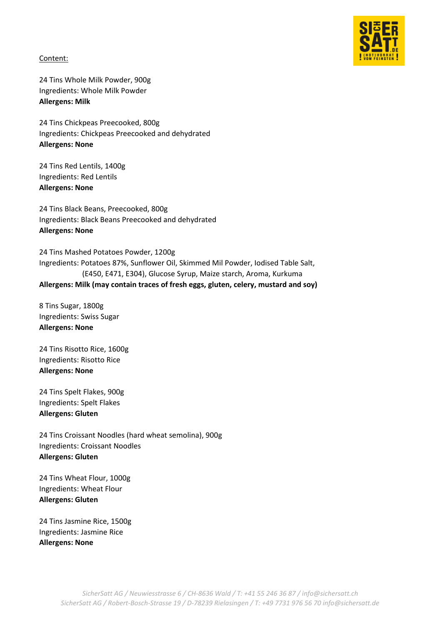

Content:

24 Tins Whole Milk Powder, 900g Ingredients: Whole Milk Powder **Allergens: Milk**

24 Tins Chickpeas Preecooked, 800g Ingredients: Chickpeas Preecooked and dehydrated **Allergens: None**

24 Tins Red Lentils, 1400g Ingredients: Red Lentils **Allergens: None**

24 Tins Black Beans, Preecooked, 800g Ingredients: Black Beans Preecooked and dehydrated **Allergens: None**

24 Tins Mashed Potatoes Powder, 1200g Ingredients: Potatoes 87%, Sunflower Oil, Skimmed Mil Powder, Iodised Table Salt, (E450, E471, E304), Glucose Syrup, Maize starch, Aroma, Kurkuma **Allergens: Milk (may contain traces of fresh eggs, gluten, celery, mustard and soy)** 

8 Tins Sugar, 1800g Ingredients: Swiss Sugar **Allergens: None**

24 Tins Risotto Rice, 1600g Ingredients: Risotto Rice **Allergens: None**

24 Tins Spelt Flakes, 900g Ingredients: Spelt Flakes **Allergens: Gluten**

24 Tins Croissant Noodles (hard wheat semolina), 900g Ingredients: Croissant Noodles **Allergens: Gluten**

24 Tins Wheat Flour, 1000g Ingredients: Wheat Flour **Allergens: Gluten**

24 Tins Jasmine Rice, 1500g Ingredients: Jasmine Rice **Allergens: None**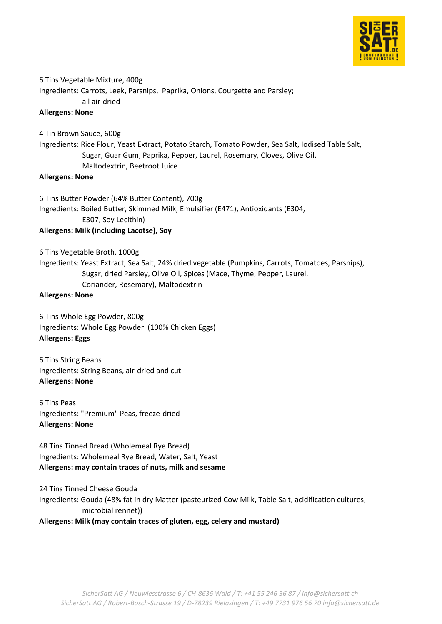

6 Tins Vegetable Mixture, 400g Ingredients: Carrots, Leek, Parsnips, Paprika, Onions, Courgette and Parsley; all air-dried

### **Allergens: None**

4 Tin Brown Sauce, 600g

Ingredients: Rice Flour, Yeast Extract, Potato Starch, Tomato Powder, Sea Salt, Iodised Table Salt, Sugar, Guar Gum, Paprika, Pepper, Laurel, Rosemary, Cloves, Olive Oil, Maltodextrin, Beetroot Juice

### **Allergens: None**

6 Tins Butter Powder (64% Butter Content), 700g Ingredients: Boiled Butter, Skimmed Milk, Emulsifier (E471), Antioxidants (E304, E307, Soy Lecithin) **Allergens: Milk (including Lacotse), Soy**

6 Tins Vegetable Broth, 1000g Ingredients: Yeast Extract, Sea Salt, 24% dried vegetable (Pumpkins, Carrots, Tomatoes, Parsnips), Sugar, dried Parsley, Olive Oil, Spices (Mace, Thyme, Pepper, Laurel, Coriander, Rosemary), Maltodextrin

#### **Allergens: None**

6 Tins Whole Egg Powder, 800g Ingredients: Whole Egg Powder (100% Chicken Eggs) **Allergens: Eggs**

6 Tins String Beans Ingredients: String Beans, air-dried and cut **Allergens: None**

6 Tins Peas Ingredients: "Premium" Peas, freeze-dried **Allergens: None**

48 Tins Tinned Bread (Wholemeal Rye Bread) Ingredients: Wholemeal Rye Bread, Water, Salt, Yeast **Allergens: may contain traces of nuts, milk and sesame**

24 Tins Tinned Cheese Gouda Ingredients: Gouda (48% fat in dry Matter (pasteurized Cow Milk, Table Salt, acidification cultures, microbial rennet))

**Allergens: Milk (may contain traces of gluten, egg, celery and mustard)**